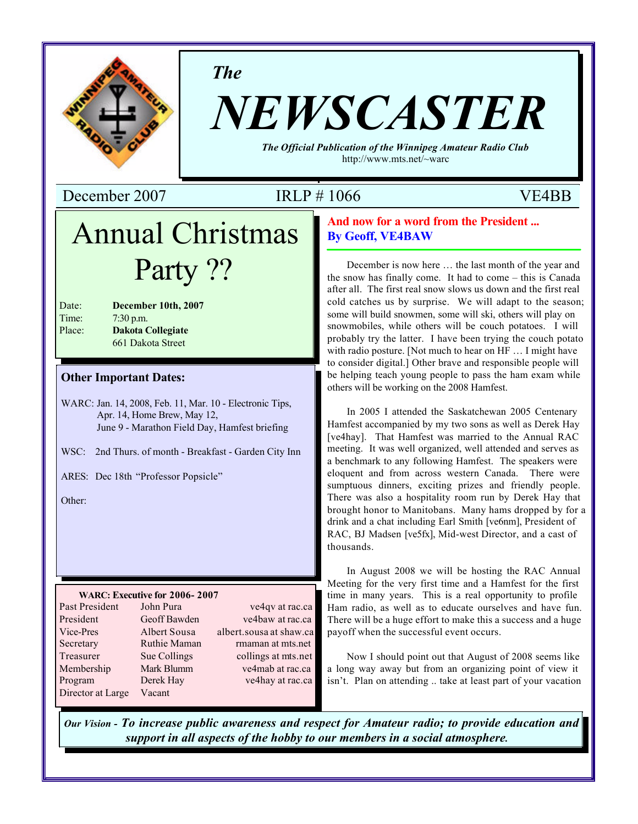

*The*

# *NEWSCASTER*

*The Official Publication of the Winnipeg Amateur Radio Club* http://www.mts.net/~warc

December 2007 IRLP # 1066 VE4BB

## Annual Christmas Party ??

| Date:  | December 10th, 2007      |
|--------|--------------------------|
| Time:  | $7:30$ p.m.              |
| Place: | <b>Dakota Collegiate</b> |
|        | 661 Dakota Street        |

#### **Other Important Dates:**

WARC: Jan. 14, 2008, Feb. 11, Mar. 10 - Electronic Tips, Apr. 14, Home Brew, May 12, June 9 - Marathon Field Day, Hamfest briefing

WSC: 2nd Thurs. of month - Breakfast - Garden City Inn

ARES: Dec 18th "Professor Popsicle"

Other:

#### **WARC: Executive for 2006- 2007**

| Past President    | John Pura    | ve4qv at rac.ca         |
|-------------------|--------------|-------------------------|
| President         | Geoff Bawden | ve4baw at rac.ca        |
| Vice-Pres         | Albert Sousa | albert.sousa at shaw.ca |
| Secretary         | Ruthie Maman | rmaman at mts.net       |
| Treasurer         | Sue Collings | collings at mts.net     |
| Membership        | Mark Blumm   | ve4mab at rac.ca        |
| Program           | Derek Hay    | ve4hay at rac.ca        |
| Director at Large | Vacant       |                         |

#### **And now for a word from the President ... By Geoff, VE4BAW**

December is now here … the last month of the year and the snow has finally come. It had to come – this is Canada after all. The first real snow slows us down and the first real cold catches us by surprise. We will adapt to the season; some will build snowmen, some will ski, others will play on snowmobiles, while others will be couch potatoes. I will probably try the latter. I have been trying the couch potato with radio posture. [Not much to hear on HF … I might have to consider digital.] Other brave and responsible people will be helping teach young people to pass the ham exam while others will be working on the 2008 Hamfest.

In 2005 I attended the Saskatchewan 2005 Centenary Hamfest accompanied by my two sons as well as Derek Hay [ve4hay]. That Hamfest was married to the Annual RAC meeting. It was well organized, well attended and serves as a benchmark to any following Hamfest. The speakers were eloquent and from across western Canada. There were sumptuous dinners, exciting prizes and friendly people. There was also a hospitality room run by Derek Hay that brought honor to Manitobans. Many hams dropped by for a drink and a chat including Earl Smith [ve6nm], President of RAC, BJ Madsen [ve5fx], Mid-west Director, and a cast of thousands.

In August 2008 we will be hosting the RAC Annual Meeting for the very first time and a Hamfest for the first time in many years. This is a real opportunity to profile Ham radio, as well as to educate ourselves and have fun. There will be a huge effort to make this a success and a huge payoff when the successful event occurs.

Now I should point out that August of 2008 seems like a long way away but from an organizing point of view it isn't. Plan on attending .. take at least part of your vacation

*Our Vision - To increase public awareness and respect for Amateur radio; to provide education and support in all aspects of the hobby to our members in a social atmosphere.*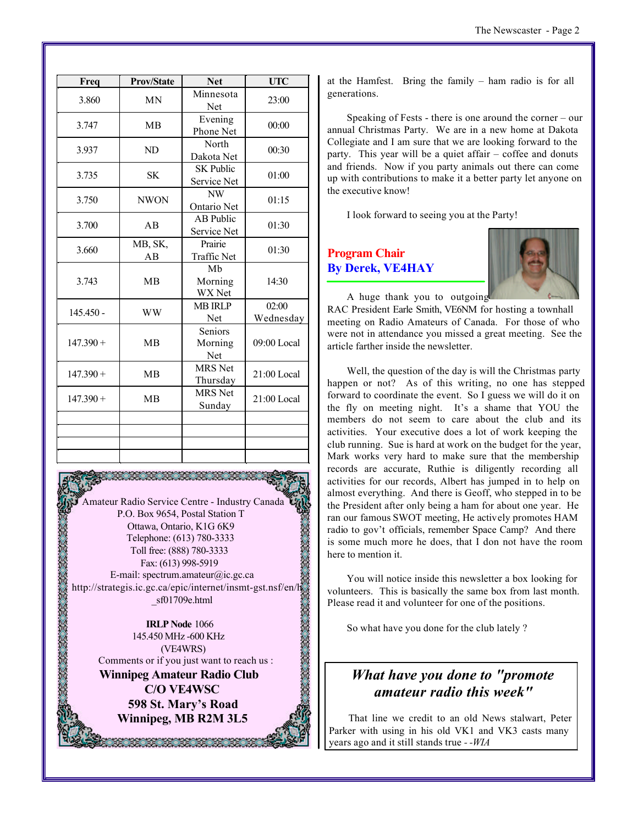| <b>Prov/State</b> | <b>Net</b>                              | <b>UTC</b>         |
|-------------------|-----------------------------------------|--------------------|
| <b>MN</b>         | Minnesota<br>Net                        | 23:00              |
| <b>MB</b>         | Evening<br>Phone Net                    | 00:00              |
| ND                | North<br>Dakota Net                     | 00:30              |
| <b>SK</b>         | <b>SK Public</b><br>Service Net         | 01:00              |
| <b>NWON</b>       | $\ensuremath{\text{NW}}$<br>Ontario Net | 01:15              |
| AB                | <b>AB</b> Public<br>Service Net         | 01:30              |
| MB, SK,<br>AB     | Prairie<br><b>Traffic Net</b>           | 01:30              |
| <b>MB</b>         | Mb<br>Morning<br><b>WX</b> Net          | 14:30              |
| <b>WW</b>         | <b>MB IRLP</b><br>Net                   | 02:00<br>Wednesday |
| <b>MB</b>         | <b>Seniors</b><br>Morning<br>Net        | 09:00 Local        |
| <b>MB</b>         | <b>MRS</b> Net<br>Thursday              | $21:00$ Local      |
| <b>MB</b>         | <b>MRS</b> Net<br>Sunday                | $21:00$ Local      |
|                   |                                         |                    |
|                   |                                         |                    |
|                   |                                         |                    |

Amateur Radio Service Centre - Industry Canada P.O. Box 9654, Postal Station T Ottawa, Ontario, K1G 6K9 Telephone: (613) 780-3333 Toll free: (888) 780-3333 Fax: (613) 998-5919 E-mail: spectrum.amateur@ic.gc.ca http://strategis.ic.gc.ca/epic/internet/insmt-gst.nsf/en/h \_sf01709e.html

**IRLP Node** 1066 145.450 MHz -600 KHz (VE4WRS) Comments or if you just want to reach us : **Winnipeg Amateur Radio Club C/O VE4WSC 598 St. Mary's Road Winnipeg, MB R2M 3L5**

at the Hamfest. Bring the family – ham radio is for all generations.

Speaking of Fests - there is one around the corner – our annual Christmas Party. We are in a new home at Dakota Collegiate and I am sure that we are looking forward to the party. This year will be a quiet affair – coffee and donuts and friends. Now if you party animals out there can come up with contributions to make it a better party let anyone on the executive know!

I look forward to seeing you at the Party!

#### **Program Chair By Derek, VE4HAY**

article farther inside the newsletter.



A huge thank you to outgoing RAC President Earle Smith, VE6NM for hosting a townhall meeting on Radio Amateurs of Canada. For those of who were not in attendance you missed a great meeting. See the

Well, the question of the day is will the Christmas party happen or not? As of this writing, no one has stepped forward to coordinate the event. So I guess we will do it on the fly on meeting night. It's a shame that YOU the members do not seem to care about the club and its activities. Your executive does a lot of work keeping the club running. Sue is hard at work on the budget for the year, Mark works very hard to make sure that the membership records are accurate, Ruthie is diligently recording all activities for our records, Albert has jumped in to help on almost everything. And there is Geoff, who stepped in to be the President after only being a ham for about one year. He ran our famous SWOT meeting, He actively promotes HAM radio to gov't officials, remember Space Camp? And there is some much more he does, that I don not have the room here to mention it.

You will notice inside this newsletter a box looking for volunteers. This is basically the same box from last month. Please read it and volunteer for one of the positions.

So what have you done for the club lately ?

### *What have you done to "promote amateur radio this week"*

That line we credit to an old News stalwart, Peter Parker with using in his old VK1 and VK3 casts many years ago and it still stands true *- -WIA*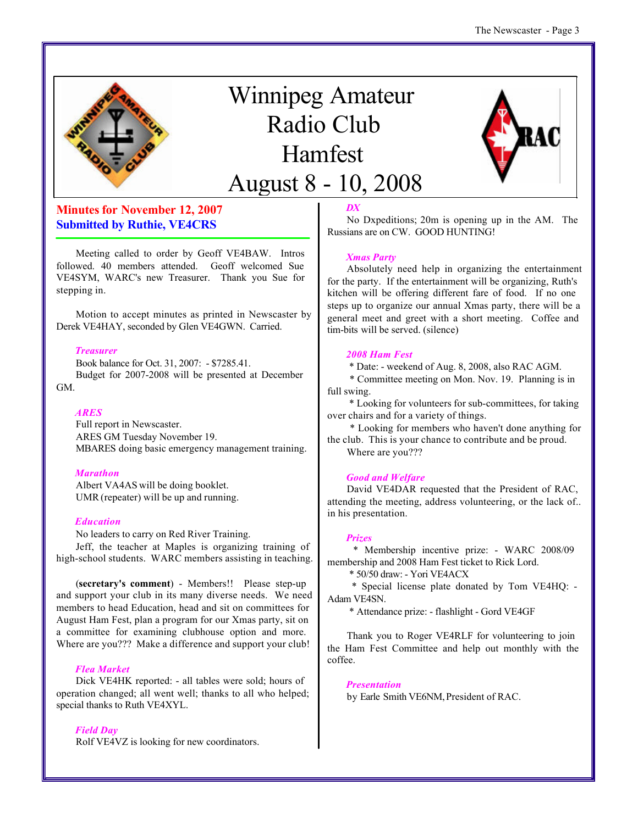

## Winnipeg Amateur Radio Club Hamfest August 8 - 10, 2008



#### **Minutes for November 12, 2007 Submitted by Ruthie, VE4CRS**

Meeting called to order by Geoff VE4BAW. Intros followed. 40 members attended. Geoff welcomed Sue VE4SYM, WARC's new Treasurer. Thank you Sue for stepping in.

Motion to accept minutes as printed in Newscaster by Derek VE4HAY, seconded by Glen VE4GWN. Carried.

#### *Treasurer*

Book balance for Oct. 31, 2007: - \$7285.41. Budget for 2007-2008 will be presented at December GM.

#### *ARES*

Full report in Newscaster. ARES GM Tuesday November 19. MBARES doing basic emergency management training.

#### *Marathon*

Albert VA4AS will be doing booklet. UMR (repeater) will be up and running.

#### *Education*

No leaders to carry on Red River Training. Jeff, the teacher at Maples is organizing training of high-school students. WARC members assisting in teaching.

(**secretary's comment**) - Members!! Please step-up and support your club in its many diverse needs. We need members to head Education, head and sit on committees for August Ham Fest, plan a program for our Xmas party, sit on a committee for examining clubhouse option and more. Where are you??? Make a difference and support your club!

#### *Flea Market*

Dick VE4HK reported: - all tables were sold; hours of operation changed; all went well; thanks to all who helped; special thanks to Ruth VE4XYL.

#### *Field Day*

Rolf VE4VZ is looking for new coordinators.

#### *DX*

No Dxpeditions; 20m is opening up in the AM. The Russians are on CW. GOOD HUNTING!

#### *Xmas Party*

Absolutely need help in organizing the entertainment for the party. If the entertainment will be organizing, Ruth's kitchen will be offering different fare of food. If no one steps up to organize our annual Xmas party, there will be a general meet and greet with a short meeting. Coffee and tim-bits will be served. (silence)

#### *2008 Ham Fest*

\* Date: - weekend of Aug. 8, 2008, also RAC AGM.

 \* Committee meeting on Mon. Nov. 19. Planning is in full swing.

 \* Looking for volunteers for sub-committees, for taking over chairs and for a variety of things.

 \* Looking for members who haven't done anything for the club. This is your chance to contribute and be proud.

Where are you???

#### *Good and Welfare*

David VE4DAR requested that the President of RAC, attending the meeting, address volunteering, or the lack of.. in his presentation.

#### *Prizes*

 \* Membership incentive prize: - WARC 2008/09 membership and 2008 Ham Fest ticket to Rick Lord.

\* 50/50 draw: - Yori VE4ACX

 \* Special license plate donated by Tom VE4HQ: - Adam VE4SN.

\* Attendance prize: - flashlight - Gord VE4GF

Thank you to Roger VE4RLF for volunteering to join the Ham Fest Committee and help out monthly with the coffee.

*Presentation*

by Earle Smith VE6NM, President of RAC.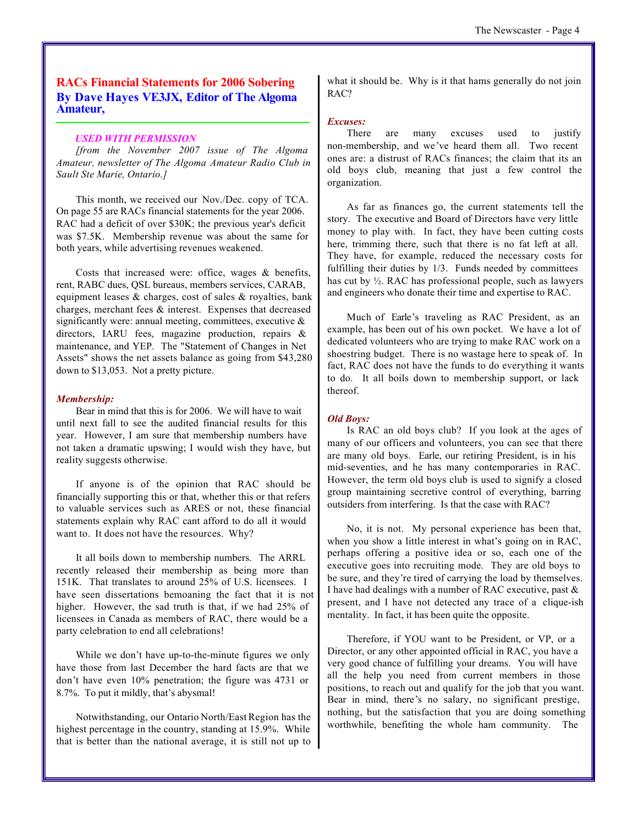#### **RACs Financial Statements for 2006 Sobering By Dave Hayes VE3JX, Editor of The Algoma Amateur,**

#### *USED WITH PERMISSION*

*[from the November 2007 issue of The Algoma Amateur, newsletter of The Algoma Amateur Radio Club in Sault Ste Marie, Ontario.]*

This month, we received our Nov./Dec. copy of TCA. On page 55 are RACs financial statements for the year 2006. RAC had a deficit of over \$30K; the previous year's deficit was \$7.5K. Membership revenue was about the same for both years, while advertising revenues weakened.

Costs that increased were: office, wages & benefits, rent, RABC dues, QSL bureaus, members services, CARAB, equipment leases & charges, cost of sales & royalties, bank charges, merchant fees & interest. Expenses that decreased significantly were: annual meeting, committees, executive  $\&$ directors, IARU fees, magazine production, repairs & maintenance, and YEP. The "Statement of Changes in Net Assets" shows the net assets balance as going from \$43,280 down to \$13,053. Not a pretty picture.

#### *Membership:*

Bear in mind that this is for 2006. We will have to wait until next fall to see the audited financial results for this year. However, I am sure that membership numbers have not taken a dramatic upswing; I would wish they have, but reality suggests otherwise.

If anyone is of the opinion that RAC should be financially supporting this or that, whether this or that refers to valuable services such as ARES or not, these financial statements explain why RAC cant afford to do all it would want to. It does not have the resources. Why?

It all boils down to membership numbers. The ARRL recently released their membership as being more than 151K. That translates to around 25% of U.S. licensees. I have seen dissertations bemoaning the fact that it is not higher. However, the sad truth is that, if we had 25% of licensees in Canada as members of RAC, there would be a party celebration to end all celebrations!

While we don't have up-to-the-minute figures we only have those from last December the hard facts are that we don't have even 10% penetration; the figure was 4731 or 8.7%. To put it mildly, that's abysmal!

Notwithstanding, our Ontario North/East Region has the highest percentage in the country, standing at 15.9%. While that is better than the national average, it is still not up to what it should be. Why is it that hams generally do not join RAC?

#### *Excuses:*

There are many excuses used to justify non-membership, and we've heard them all. Two recent ones are: a distrust of RACs finances; the claim that its an old boys club, meaning that just a few control the organization.

As far as finances go, the current statements tell the story. The executive and Board of Directors have very little money to play with. In fact, they have been cutting costs here, trimming there, such that there is no fat left at all. They have, for example, reduced the necessary costs for fulfilling their duties by 1/3. Funds needed by committees has cut by ½. RAC has professional people, such as lawyers and engineers who donate their time and expertise to RAC.

Much of Earle's traveling as RAC President, as an example, has been out of his own pocket. We have a lot of dedicated volunteers who are trying to make RAC work on a shoestring budget. There is no wastage here to speak of. In fact, RAC does not have the funds to do everything it wants to do. It all boils down to membership support, or lack thereof.

#### *Old Boys:*

Is RAC an old boys club? If you look at the ages of many of our officers and volunteers, you can see that there are many old boys. Earle, our retiring President, is in his mid-seventies, and he has many contemporaries in RAC. However, the term old boys club is used to signify a closed group maintaining secretive control of everything, barring outsiders from interfering. Is that the case with RAC?

No, it is not. My personal experience has been that, when you show a little interest in what's going on in RAC, perhaps offering a positive idea or so, each one of the executive goes into recruiting mode. They are old boys to be sure, and they're tired of carrying the load by themselves. I have had dealings with a number of RAC executive, past & present, and I have not detected any trace of a clique-ish mentality. In fact, it has been quite the opposite.

Therefore, if YOU want to be President, or VP, or a Director, or any other appointed official in RAC, you have a very good chance of fulfilling your dreams. You will have all the help you need from current members in those positions, to reach out and qualify for the job that you want. Bear in mind, there's no salary, no significant prestige, nothing, but the satisfaction that you are doing something worthwhile, benefiting the whole ham community. The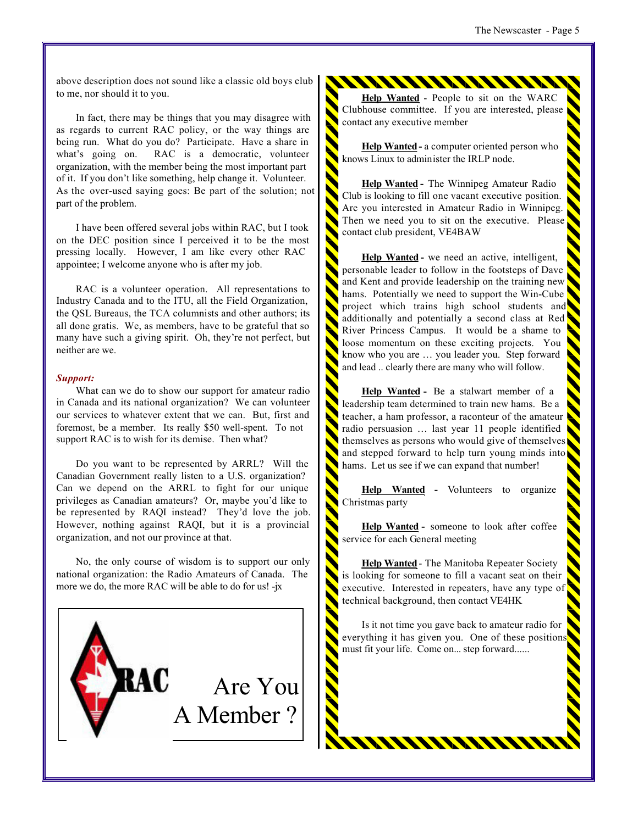above description does not sound like a classic old boys club to me, nor should it to you.

In fact, there may be things that you may disagree with as regards to current RAC policy, or the way things are being run. What do you do? Participate. Have a share in what's going on. RAC is a democratic, volunteer organization, with the member being the most important part of it. If you don't like something, help change it. Volunteer. As the over-used saying goes: Be part of the solution; not part of the problem.

I have been offered several jobs within RAC, but I took on the DEC position since I perceived it to be the most pressing locally. However, I am like every other RAC appointee; I welcome anyone who is after my job.

RAC is a volunteer operation. All representations to Industry Canada and to the ITU, all the Field Organization, the QSL Bureaus, the TCA columnists and other authors; its all done gratis. We, as members, have to be grateful that so many have such a giving spirit. Oh, they're not perfect, but neither are we.

#### *Support:*

What can we do to show our support for amateur radio in Canada and its national organization? We can volunteer our services to whatever extent that we can. But, first and foremost, be a member. Its really \$50 well-spent. To not support RAC is to wish for its demise. Then what?

Do you want to be represented by ARRL? Will the Canadian Government really listen to a U.S. organization? Can we depend on the ARRL to fight for our unique privileges as Canadian amateurs? Or, maybe you'd like to be represented by RAQI instead? They'd love the job. However, nothing against RAQI, but it is a provincial organization, and not our province at that.

No, the only course of wisdom is to support our only national organization: the Radio Amateurs of Canada. The more we do, the more RAC will be able to do for us! -jx



**Help Wanted** - People to sit on the WARC Clubhouse committee. If you are interested, please contact any executive member

**Help Wanted -** a computer oriented person who knows Linux to administer the IRLP node.

**Help Wanted -** The Winnipeg Amateur Radio Club is looking to fill one vacant executive position. Are you interested in Amateur Radio in Winnipeg. Then we need you to sit on the executive. Please contact club president, VE4BAW

**Help Wanted -** we need an active, intelligent, personable leader to follow in the footsteps of Dave and Kent and provide leadership on the training new hams. Potentially we need to support the Win-Cube project which trains high school students and additionally and potentially a second class at Red River Princess Campus. It would be a shame to loose momentum on these exciting projects. You know who you are … you leader you. Step forward and lead .. clearly there are many who will follow.

**Help Wanted -** Be a stalwart member of a leadership team determined to train new hams. Be a teacher, a ham professor, a raconteur of the amateur radio persuasion … last year 11 people identified themselves as persons who would give of themselves and stepped forward to help turn young minds into hams. Let us see if we can expand that number!

**Help Wanted -** Volunteers to organize Christmas party

**Help Wanted -** someone to look after coffee service for each General meeting

**Help Wanted**- The Manitoba Repeater Society is looking for someone to fill a vacant seat on their executive. Interested in repeaters, have any type of technical background, then contact VE4HK

Is it not time you gave back to amateur radio for everything it has given you. One of these positions must fit your life. Come on... step forward......

111111111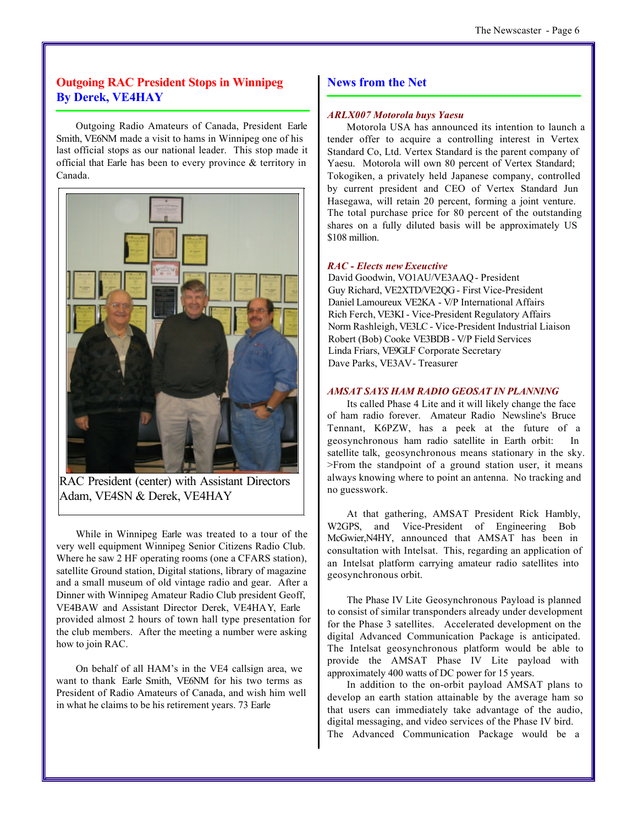#### **Outgoing RAC President Stops in Winnipeg By Derek, VE4HAY**

Outgoing Radio Amateurs of Canada, President Earle Smith, VE6NM made a visit to hams in Winnipeg one of his last official stops as our national leader. This stop made it official that Earle has been to every province & territory in Canada.



RAC President (center) with Assistant Directors Adam, VE4SN & Derek, VE4HAY

While in Winnipeg Earle was treated to a tour of the very well equipment Winnipeg Senior Citizens Radio Club. Where he saw 2 HF operating rooms (one a CFARS station), satellite Ground station, Digital stations, library of magazine and a small museum of old vintage radio and gear. After a Dinner with Winnipeg Amateur Radio Club president Geoff, VE4BAW and Assistant Director Derek, VE4HAY, Earle provided almost 2 hours of town hall type presentation for the club members. After the meeting a number were asking how to join RAC.

On behalf of all HAM's in the VE4 callsign area, we want to thank Earle Smith, VE6NM for his two terms as President of Radio Amateurs of Canada, and wish him well in what he claims to be his retirement years. 73 Earle

#### **News from the Net**

#### *ARLX007 Motorola buys Yaesu*

Motorola USA has announced its intention to launch a tender offer to acquire a controlling interest in Vertex Standard Co, Ltd. Vertex Standard is the parent company of Yaesu. Motorola will own 80 percent of Vertex Standard; Tokogiken, a privately held Japanese company, controlled by current president and CEO of Vertex Standard Jun Hasegawa, will retain 20 percent, forming a joint venture. The total purchase price for 80 percent of the outstanding shares on a fully diluted basis will be approximately US \$108 million.

#### *RAC - Elects new Exeuctive*

David Goodwin, VO1AU/VE3AAQ - President Guy Richard, VE2XTD/VE2QG - First Vice-President Daniel Lamoureux VE2KA - V/P International Affairs Rich Ferch, VE3KI - Vice-President Regulatory Affairs Norm Rashleigh, VE3LC - Vice-President Industrial Liaison Robert (Bob) Cooke VE3BDB - V/P Field Services Linda Friars, VE9GLF Corporate Secretary Dave Parks, VE3AV - Treasurer

#### *AMSAT SAYS HAM RADIO GEOSAT IN PLANNING*

Its called Phase 4 Lite and it will likely change the face of ham radio forever. Amateur Radio Newsline's Bruce Tennant, K6PZW, has a peek at the future of a geosynchronous ham radio satellite in Earth orbit: In satellite talk, geosynchronous means stationary in the sky. >From the standpoint of a ground station user, it means always knowing where to point an antenna. No tracking and no guesswork.

At that gathering, AMSAT President Rick Hambly, W2GPS, and Vice-President of Engineering Bob McGwier,N4HY, announced that AMSAT has been in consultation with Intelsat. This, regarding an application of an Intelsat platform carrying amateur radio satellites into geosynchronous orbit.

The Phase IV Lite Geosynchronous Payload is planned to consist of similar transponders already under development for the Phase 3 satellites. Accelerated development on the digital Advanced Communication Package is anticipated. The Intelsat geosynchronous platform would be able to provide the AMSAT Phase IV Lite payload with approximately 400 watts of DC power for 15 years.

In addition to the on-orbit payload AMSAT plans to develop an earth station attainable by the average ham so that users can immediately take advantage of the audio, digital messaging, and video services of the Phase IV bird. The Advanced Communication Package would be a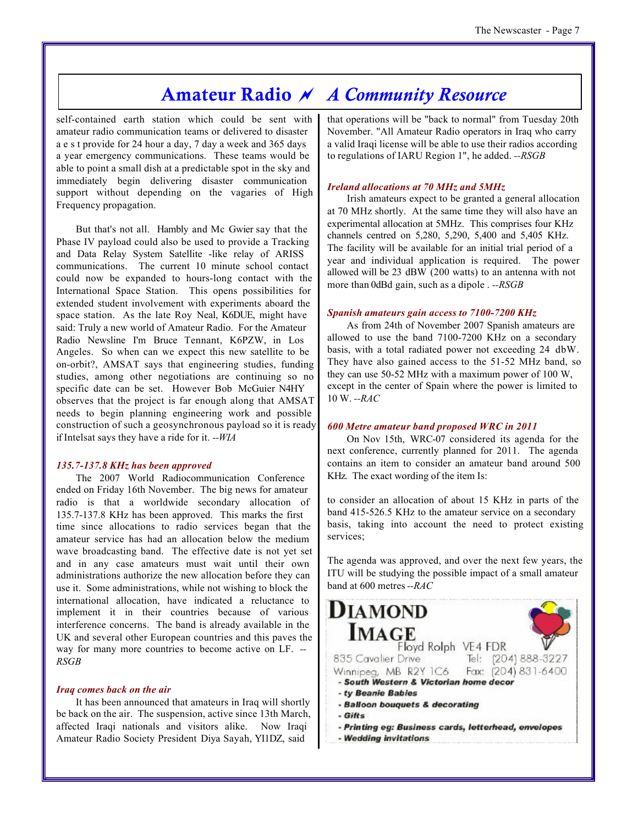### **Amateur Radio** *~ A Community Resource*

self-contained earth station which could be sent with amateur radio communication teams or delivered to disaster a e s t provide for 24 hour a day, 7 day a week and 365 days a year emergency communications. These teams would be able to point a small dish at a predictable spot in the sky and immediately begin delivering disaster communication support without depending on the vagaries of High Frequency propagation.

But that's not all. Hambly and Mc Gwier say that the Phase IV payload could also be used to provide a Tracking and Data Relay System Satellite -like relay of ARISS communications. The current 10 minute school contact could now be expanded to hours-long contact with the International Space Station. This opens possibilities for extended student involvement with experiments aboard the space station. As the late Roy Neal, K6DUE, might have said: Truly a new world of Amateur Radio. For the Amateur Radio Newsline I'm Bruce Tennant, K6PZW, in Los Angeles. So when can we expect this new satellite to be on-orbit?, AMSAT says that engineering studies, funding studies, among other negotiations are continuing so no specific date can be set. However Bob McGuier N4HY observes that the project is far enough along that AMSAT needs to begin planning engineering work and possible construction of such a geosynchronous payload so it is ready if Intelsat says they have a ride for it. *--WIA*

#### *135.7-137.8 KHz has been approved*

The 2007 World Radiocommunication Conference ended on Friday 16th November. The big news for amateur radio is that a worldwide secondary allocation of 135.7-137.8 KHz has been approved. This marks the first time since allocations to radio services began that the amateur service has had an allocation below the medium wave broadcasting band. The effective date is not yet set and in any case amateurs must wait until their own administrations authorize the new allocation before they can use it. Some administrations, while not wishing to block the international allocation, have indicated a reluctance to implement it in their countries because of various interference concerns. The band is already available in the UK and several other European countries and this paves the way for many more countries to become active on LF. *-- RSGB*

#### *Iraq comes back on the air*

It has been announced that amateurs in Iraq will shortly be back on the air. The suspension, active since 13th March, affected Iraqi nationals and visitors alike. Now Iraqi Amateur Radio Society President Diya Sayah, YI1DZ, said

that operations will be "back to normal" from Tuesday 20th November. "All Amateur Radio operators in Iraq who carry a valid Iraqi license will be able to use their radios according to regulations of IARU Region 1", he added. *--RSGB*

#### *Ireland allocations at 70 MHz and 5MHz*

Irish amateurs expect to be granted a general allocation at 70 MHz shortly. At the same time they will also have an experimental allocation at 5MHz. This comprises four KHz channels centred on 5,280, 5,290, 5,400 and 5,405 KHz. The facility will be available for an initial trial period of a year and individual application is required. The power allowed will be 23 dBW (200 watts) to an antenna with not more than 0dBd gain, such as a dipole . *--RSGB*

#### *Spanish amateurs gain access to 7100-7200 KHz*

As from 24th of November 2007 Spanish amateurs are allowed to use the band 7100-7200 KHz on a secondary basis, with a total radiated power not exceeding 24 dbW. They have also gained access to the 51-52 MHz band, so they can use 50-52 MHz with a maximum power of 100 W, except in the center of Spain where the power is limited to 10 W. *--RAC*

#### *600 Metre amateur band proposed WRC in 2011*

On Nov 15th, WRC-07 considered its agenda for the next conference, currently planned for 2011. The agenda contains an item to consider an amateur band around 500 KHz. The exact wording of the item Is:

to consider an allocation of about 15 KHz in parts of the band 415-526.5 KHz to the amateur service on a secondary basis, taking into account the need to protect existing services;

The agenda was approved, and over the next few years, the ITU will be studying the possible impact of a small amateur band at 600 metres *--RAC*

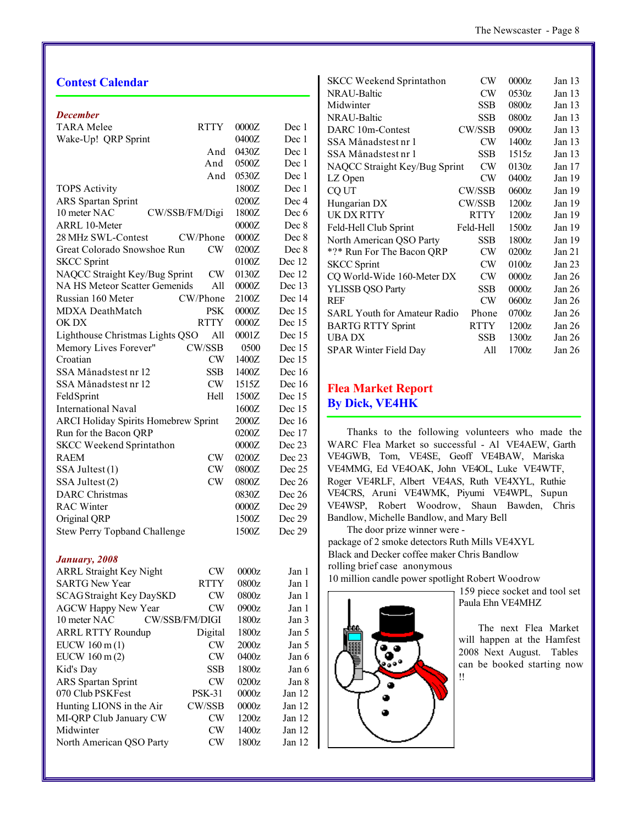| <b>Contest Calendar</b>                     |               |       |                           |
|---------------------------------------------|---------------|-------|---------------------------|
| <b>December</b>                             |               |       |                           |
| <b>TARA</b> Melee                           | <b>RTTY</b>   | 0000Z | Dec 1                     |
| Wake-Up! QRP Sprint                         |               | 0400Z | Dec 1                     |
|                                             | And           | 0430Z | Dec 1                     |
|                                             | And           | 0500Z | Dec 1                     |
|                                             | And           | 0530Z | Dec 1                     |
| <b>TOPS Activity</b>                        |               | 1800Z | Dec 1                     |
| <b>ARS</b> Spartan Sprint                   |               | 0200Z | Dec 4                     |
| 10 meter NAC<br>CW/SSB/FM/Digi              |               | 1800Z | Dec 6                     |
| <b>ARRL 10-Meter</b>                        |               | 0000Z | Dec 8                     |
| 28 MHz SWL-Contest                          | CW/Phone      | 0000Z | Dec 8                     |
| Great Colorado Snowshoe Run                 | CW            | 0200Z | Dec 8                     |
| <b>SKCC Sprint</b>                          |               | 0100Z | Dec 12                    |
| NAQCC Straight Key/Bug Sprint               | CW            | 0130Z | Dec 12                    |
| <b>NA HS Meteor Scatter Gemenids</b>        | All           | 0000Z | Dec 13                    |
| Russian 160 Meter                           | CW/Phone      | 2100Z | Dec 14                    |
| MDXA DeathMatch                             | <b>PSK</b>    | 0000Z | Dec 15                    |
| OK DX                                       | <b>RTTY</b>   | 0000Z | Dec 15                    |
| Lighthouse Christmas Lights QSO             | All           | 0001Z | Dec 15                    |
| Memory Lives Forever"                       | CW/SSB        | 0500  | Dec 15                    |
| Croatian                                    | CW            | 1400Z | Dec 15                    |
| SSA Månadstest nr 12                        | SSB           | 1400Z | Dec 16                    |
| SSA Månadstest nr 12                        | CW            | 1515Z | Dec $16$                  |
| FeldSprint                                  | Hell          | 1500Z | Dec 15                    |
| <b>International Naval</b>                  |               | 1600Z | Dec 15                    |
| <b>ARCI Holiday Spirits Homebrew Sprint</b> |               | 2000Z | Dec 16                    |
| Run for the Bacon QRP                       |               | 0200Z | Dec 17                    |
| <b>SKCC Weekend Sprintathon</b>             |               | 0000Z | Dec 23                    |
| <b>RAEM</b>                                 | CW            | 0200Z | Dec 23                    |
| SSA Jultest (1)                             | CW            | 0800Z | Dec 25                    |
| SSA Jultest (2)                             | CW            | 0800Z | Dec 26                    |
| <b>DARC</b> Christmas                       |               | 0830Z | Dec 26                    |
| <b>RAC Winter</b>                           |               | 0000Z | Dec 29                    |
| Original QRP                                |               | 1500Z | Dec 29                    |
| <b>Stew Perry Topband Challenge</b>         |               | 1500Z | Dec 29                    |
| January, 2008                               |               |       |                           |
| <b>ARRL Straight Key Night</b>              | CW            | 0000z | Jan 1                     |
| <b>SARTG New Year</b>                       | <b>RTTY</b>   | 0800z | Jan 1                     |
| $0.0100 \pm 1.07$ $R_{\rm{CD}}$             | $\sqrt{1117}$ | 0000  | $\mathbf{r} = \mathbf{1}$ |

| ARRE Straight Rey Inight        | ∪v             | WWW.  | лан т    |
|---------------------------------|----------------|-------|----------|
| <b>SARTG New Year</b>           | <b>RTTY</b>    | 0800z | Jan 1    |
| <b>SCAG Straight Key DaySKD</b> | <b>CW</b>      | 0800z | Jan 1    |
| <b>AGCW Happy New Year</b>      | CW             | 0900z | Jan 1    |
| 10 meter NAC                    | CW/SSB/FM/DIGI | 1800z | Jan 3    |
| <b>ARRL RTTY Roundup</b>        | Digital        | 1800z | Jan 5    |
| EUCW $160 \text{ m} (1)$        | CW             | 2000z | Jan 5    |
| EUCW 160 m (2)                  | CW             | 0400z | Jan 6    |
| Kid's Day                       | <b>SSB</b>     | 1800z | Jan 6    |
| <b>ARS</b> Spartan Sprint       | CW             | 0200z | Jan 8    |
| 070 Club PSKFest                | <b>PSK-31</b>  | 0000z | Jan $12$ |
| Hunting LIONS in the Air        | CW/SSB         | 0000z | Jan $12$ |
| MI-QRP Club January CW          | CW             | 1200z | Jan $12$ |
| Midwinter                       | <b>CW</b>      | 1400z | Jan 12   |
| North American QSO Party        | CW             | 1800z | Jan $12$ |
|                                 |                |       |          |

| <b>SKCC Weekend Sprintathon</b>     | CW            | 0000z | Jan $13$          |
|-------------------------------------|---------------|-------|-------------------|
| <b>NRAU-Baltic</b>                  | CW            | 0530z | Jan $13$          |
| Midwinter                           | <b>SSB</b>    | 0800z | Jan $13$          |
| NRAU-Baltic                         | SSB           | 0800z | Jan $13$          |
| DARC 10m-Contest                    | CW/SSB        | 0900z | Jan $13$          |
| SSA Månadstest nr 1                 | CW            | 1400z | Jan 13            |
| SSA Månadstest nr 1                 | <b>SSB</b>    | 1515z | Jan $13$          |
| NAQCC Straight Key/Bug Sprint       | CW            | 0130z | Jan 17            |
| LZ Open                             | CW            | 0400z | Jan 19            |
| CQ UT                               | <b>CW/SSB</b> | 0600z | Jan 19            |
| Hungarian DX                        | CW/SSB        | 1200z | Jan 19            |
| UK DX RTTY                          | <b>RTTY</b>   | 1200z | Jan 19            |
| Feld-Hell Club Sprint               | Feld-Hell     | 1500z | Jan 19            |
| North American QSO Party            | <b>SSB</b>    | 1800z | Jan 19            |
| *?* Run For The Bacon QRP           | CW            | 0200z | Jan 21            |
| <b>SKCC Sprint</b>                  | CW            | 0100z | Jan <sub>23</sub> |
| CQ World-Wide 160-Meter DX          | CW            | 0000z | Jan <sub>26</sub> |
| <b>YLISSB QSO Party</b>             | <b>SSB</b>    | 0000z | Jan 26            |
| <b>REF</b>                          | CW            | 0600z | Jan 26            |
| <b>SARL Youth for Amateur Radio</b> | Phone         | 0700z | Jan 26            |
| <b>BARTG RTTY Sprint</b>            | <b>RTTY</b>   | 1200z | Jan 26            |
| <b>UBADX</b>                        | <b>SSB</b>    | 1300z | Jan $26$          |
| SPAR Winter Field Day               | All           | 1700z | Jan $26$          |
|                                     |               |       |                   |

#### **Flea Market Report By Dick, VE4HK**

Thanks to the following volunteers who made the WARC Flea Market so successful - Al VE4AEW, Garth VE4GWB, Tom, VE4SE, Geoff VE4BAW, Mariska VE4MMG, Ed VE4OAK, John VE4OL, Luke VE4WTF, Roger VE4RLF, Albert VE4AS, Ruth VE4XYL, Ruthie VE4CRS, Aruni VE4WMK, Piyumi VE4WPL, Supun VE4WSP, Robert Woodrow, Shaun Bawden, Chris Bandlow, Michelle Bandlow, and Mary Bell

The door prize winner were package of 2 smoke detectors Ruth Mills VE4XYL Black and Decker coffee maker Chris Bandlow rolling brief case anonymous

10 million candle power spotlight Robert Woodrow



159 piece socket and tool set Paula Ehn VE4MHZ

The next Flea Market will happen at the Hamfest 2008 Next August. Tables can be booked starting now !!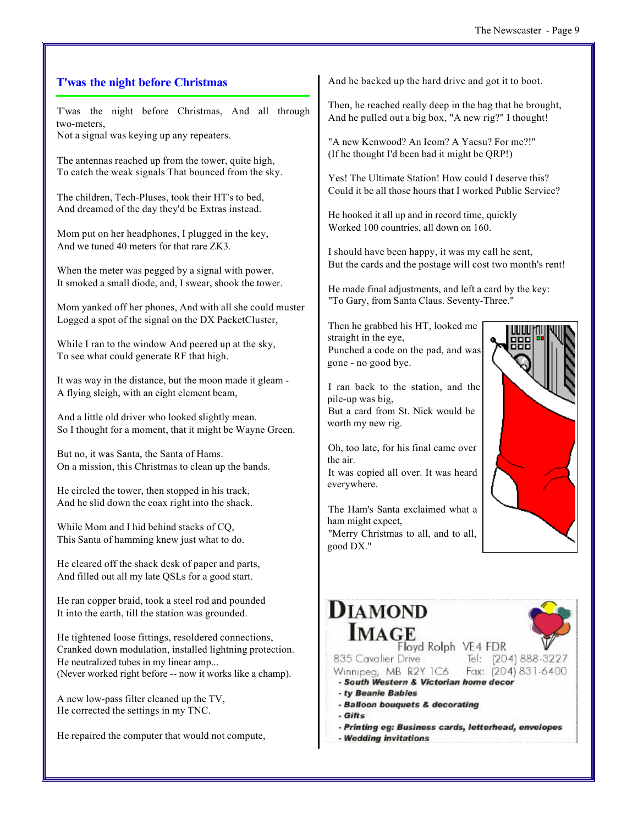#### The Newscaster - Page 9

#### **T'was the night before Christmas**

T'was the night before Christmas, And all through two-meters,

Not a signal was keying up any repeaters.

The antennas reached up from the tower, quite high, To catch the weak signals That bounced from the sky.

The children, Tech-Pluses, took their HT's to bed, And dreamed of the day they'd be Extras instead.

Mom put on her headphones, I plugged in the key, And we tuned 40 meters for that rare ZK3.

When the meter was pegged by a signal with power. It smoked a small diode, and, I swear, shook the tower.

Mom yanked off her phones, And with all she could muster Logged a spot of the signal on the DX PacketCluster,

While I ran to the window And peered up at the sky, To see what could generate RF that high.

It was way in the distance, but the moon made it gleam - A flying sleigh, with an eight element beam,

And a little old driver who looked slightly mean. So I thought for a moment, that it might be Wayne Green.

But no, it was Santa, the Santa of Hams. On a mission, this Christmas to clean up the bands.

He circled the tower, then stopped in his track, And he slid down the coax right into the shack.

While Mom and I hid behind stacks of CQ, This Santa of hamming knew just what to do.

He cleared off the shack desk of paper and parts, And filled out all my late QSLs for a good start.

He ran copper braid, took a steel rod and pounded It into the earth, till the station was grounded.

He tightened loose fittings, resoldered connections, Cranked down modulation, installed lightning protection. He neutralized tubes in my linear amp... (Never worked right before -- now it works like a champ).

A new low-pass filter cleaned up the TV, He corrected the settings in my TNC.

He repaired the computer that would not compute,

And he backed up the hard drive and got it to boot.

Then, he reached really deep in the bag that he brought, And he pulled out a big box, "A new rig?" I thought!

"A new Kenwood? An Icom? A Yaesu? For me?!" (If he thought I'd been bad it might be QRP!)

Yes! The Ultimate Station! How could I deserve this? Could it be all those hours that I worked Public Service?

He hooked it all up and in record time, quickly Worked 100 countries, all down on 160.

I should have been happy, it was my call he sent, But the cards and the postage will cost two month's rent!

He made final adjustments, and left a card by the key: "To Gary, from Santa Claus. Seventy-Three."

Then he grabbed his HT, looked me straight in the eye, Punched a code on the pad, and was gone - no good bye.

I ran back to the station, and the pile-up was big, But a card from St. Nick would be worth my new rig.

Oh, too late, for his final came over the air.

It was copied all over. It was heard everywhere.

The Ham's Santa exclaimed what a ham might expect, "Merry Christmas to all, and to all, good DX."